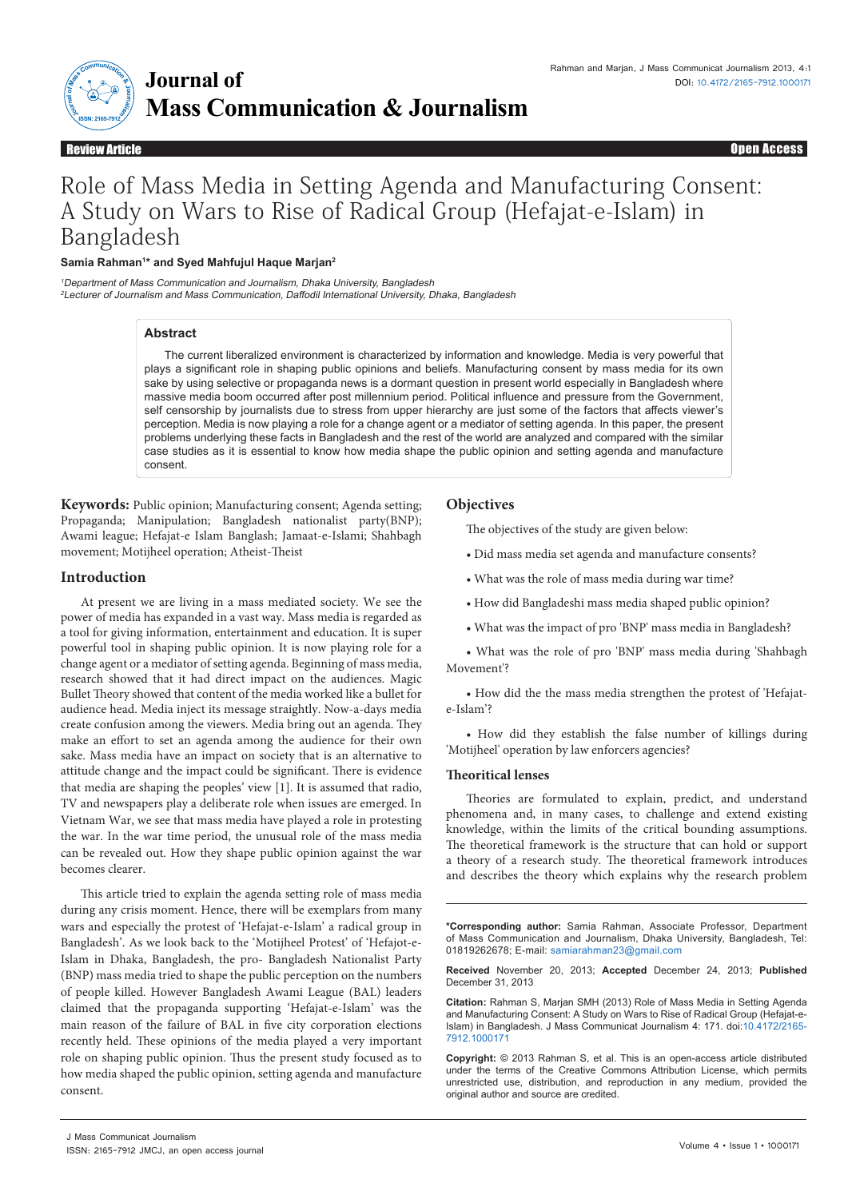

## Open Access Open Access

# Role of Mass Media in Setting Agenda and Manufacturing Consent: A Study on Wars to Rise of Radical Group (Hefajat-e-Islam) in Bangladesh

#### **Samia Rahman1 \* and Syed Mahfujul Haque Marjan2**

<sup>1</sup>Department of Mass Communication and Journalism, Dhaka University, Bangladesh <sup>2</sup>Lecturer of Journalism and Mass Communication, Daffodil International University, Dhaka, Bangladesh

#### **Abstract**

The current liberalized environment is characterized by information and knowledge. Media is very powerful that plays a significant role in shaping public opinions and beliefs. Manufacturing consent by mass media for its own sake by using selective or propaganda news is a dormant question in present world especially in Bangladesh where massive media boom occurred after post millennium period. Political influence and pressure from the Government, self censorship by journalists due to stress from upper hierarchy are just some of the factors that affects viewer's perception. Media is now playing a role for a change agent or a mediator of setting agenda. In this paper, the present problems underlying these facts in Bangladesh and the rest of the world are analyzed and compared with the similar case studies as it is essential to know how media shape the public opinion and setting agenda and manufacture consent.

**Keywords:** Public opinion; Manufacturing consent; Agenda setting; Propaganda; Manipulation; Bangladesh nationalist party(BNP); Awami league; Hefajat-e Islam Banglash; Jamaat-e-Islami; Shahbagh movement; Motijheel operation; Atheist-Theist

#### **Introduction**

At present we are living in a mass mediated society. We see the power of media has expanded in a vast way. Mass media is regarded as a tool for giving information, entertainment and education. It is super powerful tool in shaping public opinion. It is now playing role for a change agent or a mediator of setting agenda. Beginning of mass media, research showed that it had direct impact on the audiences. Magic Bullet Theory showed that content of the media worked like a bullet for audience head. Media inject its message straightly. Now-a-days media create confusion among the viewers. Media bring out an agenda. They make an effort to set an agenda among the audience for their own sake. Mass media have an impact on society that is an alternative to attitude change and the impact could be significant. There is evidence that media are shaping the peoples' view [1]. It is assumed that radio, TV and newspapers play a deliberate role when issues are emerged. In Vietnam War, we see that mass media have played a role in protesting the war. In the war time period, the unusual role of the mass media can be revealed out. How they shape public opinion against the war becomes clearer.

This article tried to explain the agenda setting role of mass media during any crisis moment. Hence, there will be exemplars from many wars and especially the protest of 'Hefajat-e-Islam' a radical group in Bangladesh'. As we look back to the 'Motijheel Protest' of 'Hefajot-e-Islam in Dhaka, Bangladesh, the pro- Bangladesh Nationalist Party (BNP) mass media tried to shape the public perception on the numbers of people killed. However Bangladesh Awami League (BAL) leaders claimed that the propaganda supporting 'Hefajat-e-Islam' was the main reason of the failure of BAL in five city corporation elections recently held. These opinions of the media played a very important role on shaping public opinion. Thus the present study focused as to how media shaped the public opinion, setting agenda and manufacture consent.

#### **Objectives**

The objectives of the study are given below:

- Did mass media set agenda and manufacture consents?
- What was the role of mass media during war time?
- How did Bangladeshi mass media shaped public opinion?
- What was the impact of pro 'BNP' mass media in Bangladesh?

• What was the role of pro 'BNP' mass media during 'Shahbagh Movement'?

• How did the the mass media strengthen the protest of 'Hefajate-Islam'?

• How did they establish the false number of killings during 'Motijheel' operation by law enforcers agencies?

#### **Theoritical lenses**

Theories are formulated to explain, predict, and understand phenomena and, in many cases, to challenge and extend existing knowledge, within the limits of the critical bounding assumptions. The theoretical framework is the structure that can hold or support a theory of a research study. The theoretical framework introduces and describes the theory which explains why the research problem

**\*Corresponding author:** Samia Rahman, Associate Professor, Department of Mass Communication and Journalism, Dhaka University, Bangladesh, Tel: 01819262678; E-mail: samiarahman23@gmail.com

**Received** November 20, 2013; **Accepted** December 24, 2013; **Published** December 31, 2013

**Citation:** Rahman S, Marjan SMH (2013) Role of Mass Media in Setting Agenda and Manufacturing Consent: A Study on Wars to Rise of Radical Group (Hefajat-e-Islam) in Bangladesh. J Mass Communicat Journalism 4: 171. doi:10.4172/2165- 7912.1000171

**Copyright:** © 2013 Rahman S, et al. This is an open-access article distributed under the terms of the Creative Commons Attribution License, which permits unrestricted use, distribution, and reproduction in any medium, provided the original author and source are credited.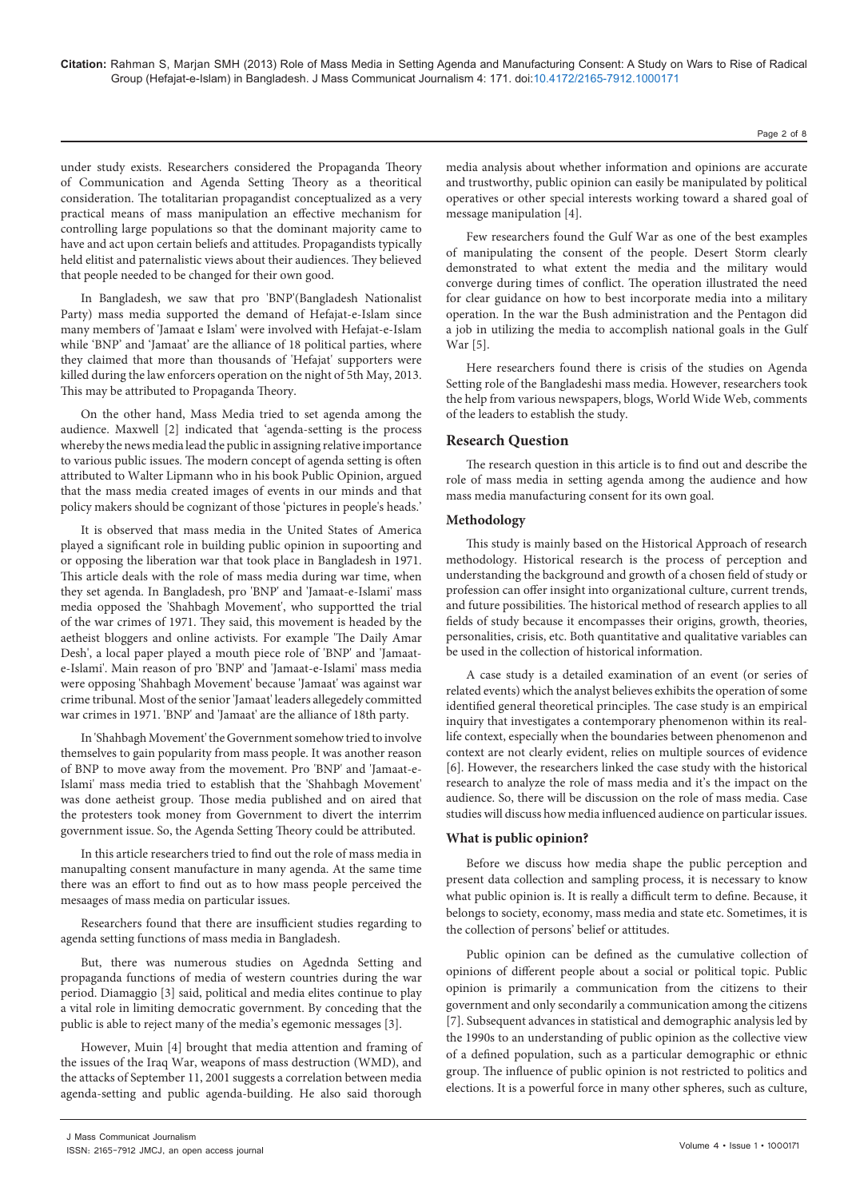under study exists. Researchers considered the Propaganda Theory of Communication and Agenda Setting Theory as a theoritical consideration. The totalitarian propagandist conceptualized as a very practical means of mass manipulation an effective mechanism for controlling large populations so that the dominant majority came to have and act upon certain beliefs and attitudes. Propagandists typically held elitist and paternalistic views about their audiences. They believed that people needed to be changed for their own good.

In Bangladesh, we saw that pro 'BNP'(Bangladesh Nationalist Party) mass media supported the demand of Hefajat-e-Islam since many members of 'Jamaat e Islam' were involved with Hefajat-e-Islam while 'BNP' and 'Jamaat' are the alliance of 18 political parties, where they claimed that more than thousands of 'Hefajat' supporters were killed during the law enforcers operation on the night of 5th May, 2013. This may be attributed to Propaganda Theory.

On the other hand, Mass Media tried to set agenda among the audience. Maxwell [2] indicated that 'agenda-setting is the process whereby the news media lead the public in assigning relative importance to various public issues. The modern concept of agenda setting is often attributed to Walter Lipmann who in his book Public Opinion, argued that the mass media created images of events in our minds and that policy makers should be cognizant of those 'pictures in people's heads.'

It is observed that mass media in the United States of America played a significant role in building public opinion in supoorting and or opposing the liberation war that took place in Bangladesh in 1971. This article deals with the role of mass media during war time, when they set agenda. In Bangladesh, pro 'BNP' and 'Jamaat-e-Islami' mass media opposed the 'Shahbagh Movement', who supportted the trial of the war crimes of 1971. They said, this movement is headed by the aetheist bloggers and online activists. For example 'The Daily Amar Desh', a local paper played a mouth piece role of 'BNP' and 'Jamaate-Islami'. Main reason of pro 'BNP' and 'Jamaat-e-Islami' mass media were opposing 'Shahbagh Movement' because 'Jamaat' was against war crime tribunal. Most of the senior 'Jamaat' leaders allegedely committed war crimes in 1971. 'BNP' and 'Jamaat' are the alliance of 18th party.

In 'Shahbagh Movement' the Government somehow tried to involve themselves to gain popularity from mass people. It was another reason of BNP to move away from the movement. Pro 'BNP' and 'Jamaat-e-Islami' mass media tried to establish that the 'Shahbagh Movement' was done aetheist group. Those media published and on aired that the protesters took money from Government to divert the interrim government issue. So, the Agenda Setting Theory could be attributed.

In this article researchers tried to find out the role of mass media in manupalting consent manufacture in many agenda. At the same time there was an effort to find out as to how mass people perceived the mesaages of mass media on particular issues.

Researchers found that there are insufficient studies regarding to agenda setting functions of mass media in Bangladesh.

But, there was numerous studies on Agednda Setting and propaganda functions of media of western countries during the war period. Diamaggio [3] said, political and media elites continue to play a vital role in limiting democratic government. By conceding that the public is able to reject many of the media's egemonic messages [3].

However, Muin [4] brought that media attention and framing of the issues of the Iraq War, weapons of mass destruction (WMD), and the attacks of September 11, 2001 suggests a correlation between media agenda-setting and public agenda-building. He also said thorough

Page 2 of 8

Few researchers found the Gulf War as one of the best examples of manipulating the consent of the people. Desert Storm clearly demonstrated to what extent the media and the military would converge during times of conflict. The operation illustrated the need for clear guidance on how to best incorporate media into a military operation. In the war the Bush administration and the Pentagon did a job in utilizing the media to accomplish national goals in the Gulf War [5].

Here researchers found there is crisis of the studies on Agenda Setting role of the Bangladeshi mass media. However, researchers took the help from various newspapers, blogs, World Wide Web, comments of the leaders to establish the study.

#### **Research Question**

The research question in this article is to find out and describe the role of mass media in setting agenda among the audience and how mass media manufacturing consent for its own goal.

#### **Methodology**

This study is mainly based on the Historical Approach of research methodology. Historical research is the process of perception and understanding the background and growth of a chosen field of study or profession can offer insight into organizational culture, current trends, and future possibilities. The historical method of research applies to all fields of study because it encompasses their origins, growth, theories, personalities, crisis, etc. Both quantitative and qualitative variables can be used in the collection of historical information.

A case study is a detailed examination of an event (or series of related events) which the analyst believes exhibits the operation of some identified general theoretical principles. The case study is an empirical inquiry that investigates a contemporary phenomenon within its reallife context, especially when the boundaries between phenomenon and context are not clearly evident, relies on multiple sources of evidence [6]. However, the researchers linked the case study with the historical research to analyze the role of mass media and it's the impact on the audience. So, there will be discussion on the role of mass media. Case studies will discuss how media influenced audience on particular issues.

#### **What is public opinion?**

Before we discuss how media shape the public perception and present data collection and sampling process, it is necessary to know what public opinion is. It is really a difficult term to define. Because, it belongs to society, economy, mass media and state etc. Sometimes, it is the collection of persons' belief or attitudes.

Public opinion can be defined as the cumulative collection of opinions of different people about a social or political topic. Public opinion is primarily a communication from the citizens to their government and only secondarily a communication among the citizens [7]. Subsequent advances in statistical and demographic analysis led by the 1990s to an understanding of public opinion as the collective view of a defined population, such as a particular demographic or ethnic group. The influence of public opinion is not restricted to politics and elections. It is a powerful force in many other spheres, such as culture,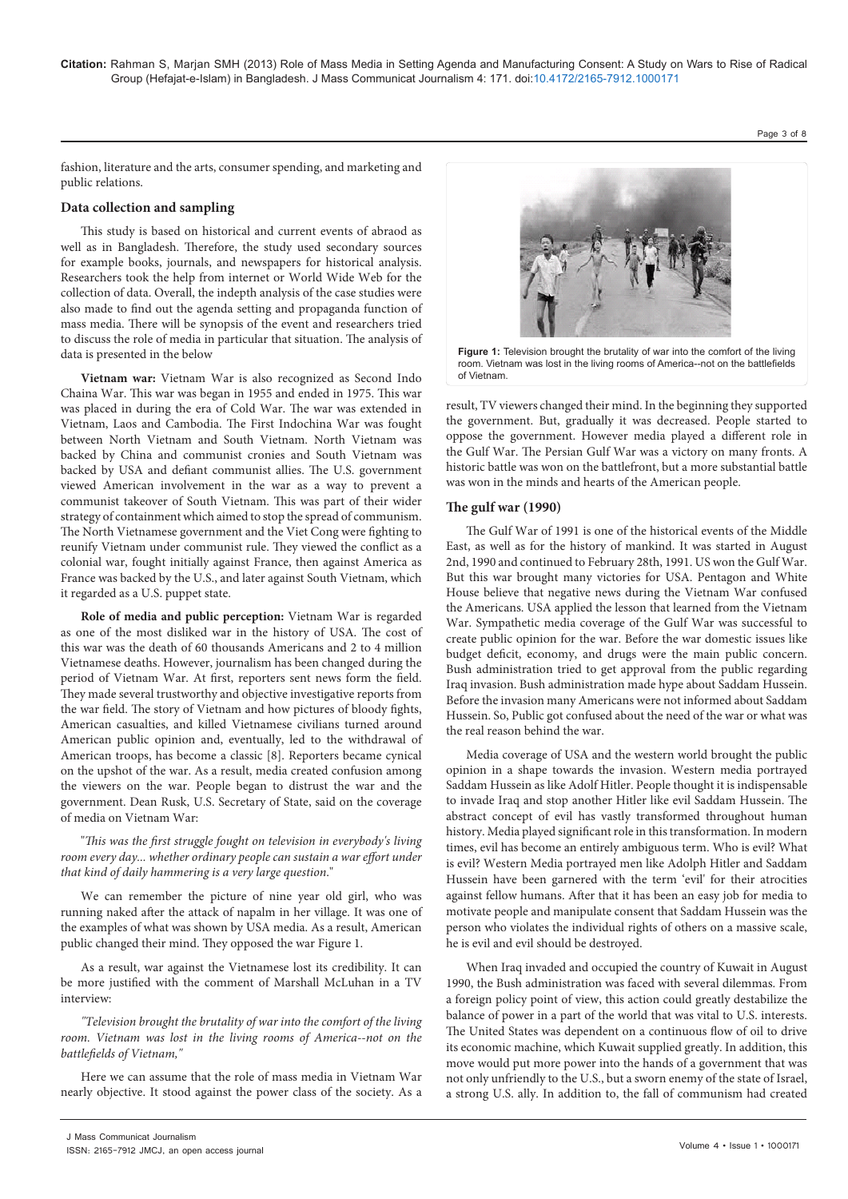**Citation:** Rahman S, Marjan SMH (2013) Role of Mass Media in Setting Agenda and Manufacturing Consent: A Study on Wars to Rise of Radical Group (Hefajat-e-Islam) in Bangladesh. J Mass Communicat Journalism 4: 171. doi:10.4172/2165-7912.1000171

Page 3 of 8

fashion, literature and the arts, consumer spending, and marketing and public relations.

#### **Data collection and sampling**

This study is based on historical and current events of abraod as well as in Bangladesh. Therefore, the study used secondary sources for example books, journals, and newspapers for historical analysis. Researchers took the help from internet or World Wide Web for the collection of data. Overall, the indepth analysis of the case studies were also made to find out the agenda setting and propaganda function of mass media. There will be synopsis of the event and researchers tried to discuss the role of media in particular that situation. The analysis of data is presented in the below

**Vietnam war:** Vietnam War is also recognized as Second Indo Chaina War. This war was began in 1955 and ended in 1975. This war was placed in during the era of Cold War. The war was extended in Vietnam, Laos and Cambodia. The First Indochina War was fought between North Vietnam and South Vietnam. North Vietnam was backed by China and communist cronies and South Vietnam was backed by USA and defiant communist allies. The U.S. government viewed American involvement in the war as a way to prevent a communist takeover of South Vietnam. This was part of their wider strategy of containment which aimed to stop the spread of communism. The North Vietnamese government and the Viet Cong were fighting to reunify Vietnam under communist rule. They viewed the conflict as a colonial war, fought initially against France, then against America as France was backed by the U.S., and later against South Vietnam, which it regarded as a U.S. puppet state.

**Role of media and public perception:** Vietnam War is regarded as one of the most disliked war in the history of USA. The cost of this war was the death of 60 thousands Americans and 2 to 4 million Vietnamese deaths. However, journalism has been changed during the period of Vietnam War. At first, reporters sent news form the field. They made several trustworthy and objective investigative reports from the war field. The story of Vietnam and how pictures of bloody fights, American casualties, and killed Vietnamese civilians turned around American public opinion and, eventually, led to the withdrawal of American troops, has become a classic [8]. Reporters became cynical on the upshot of the war. As a result, media created confusion among the viewers on the war. People began to distrust the war and the government. Dean Rusk, U.S. Secretary of State, said on the coverage of media on Vietnam War:

"*This was the first struggle fought on television in everybody's living room every day... whether ordinary people can sustain a war effort under that kind of daily hammering is a very large question*."

We can remember the picture of nine year old girl, who was running naked after the attack of napalm in her village. It was one of the examples of what was shown by USA media. As a result, American public changed their mind. They opposed the war Figure 1.

As a result, war against the Vietnamese lost its credibility. It can be more justified with the comment of Marshall McLuhan in a TV interview:

*"Television brought the brutality of war into the comfort of the living room. Vietnam was lost in the living rooms of America--not on the battlefields of Vietnam,"*

Here we can assume that the role of mass media in Vietnam War nearly objective. It stood against the power class of the society. As a



**Figure 1:** Television brought the brutality of war into the comfort of the living room. Vietnam was lost in the living rooms of America--not on the battlefields of Vietnam.

result, TV viewers changed their mind. In the beginning they supported the government. But, gradually it was decreased. People started to oppose the government. However media played a different role in the Gulf War. The Persian Gulf War was a victory on many fronts. A historic battle was won on the battlefront, but a more substantial battle was won in the minds and hearts of the American people.

#### **The gulf war (1990)**

The Gulf War of 1991 is one of the historical events of the Middle East, as well as for the history of mankind. It was started in August 2nd, 1990 and continued to February 28th, 1991. US won the Gulf War. But this war brought many victories for USA. Pentagon and White House believe that negative news during the Vietnam War confused the Americans. USA applied the lesson that learned from the Vietnam War. Sympathetic media coverage of the Gulf War was successful to create public opinion for the war. Before the war domestic issues like budget deficit, economy, and drugs were the main public concern. Bush administration tried to get approval from the public regarding Iraq invasion. Bush administration made hype about Saddam Hussein. Before the invasion many Americans were not informed about Saddam Hussein. So, Public got confused about the need of the war or what was the real reason behind the war.

Media coverage of USA and the western world brought the public opinion in a shape towards the invasion. Western media portrayed Saddam Hussein as like Adolf Hitler. People thought it is indispensable to invade Iraq and stop another Hitler like evil Saddam Hussein. The abstract concept of evil has vastly transformed throughout human history. Media played significant role in this transformation. In modern times, evil has become an entirely ambiguous term. Who is evil? What is evil? Western Media portrayed men like Adolph Hitler and Saddam Hussein have been garnered with the term 'evil' for their atrocities against fellow humans. After that it has been an easy job for media to motivate people and manipulate consent that Saddam Hussein was the person who violates the individual rights of others on a massive scale, he is evil and evil should be destroyed.

When Iraq invaded and occupied the country of Kuwait in August 1990, the Bush administration was faced with several dilemmas. From a foreign policy point of view, this action could greatly destabilize the balance of power in a part of the world that was vital to U.S. interests. The United States was dependent on a continuous flow of oil to drive its economic machine, which Kuwait supplied greatly. In addition, this move would put more power into the hands of a government that was not only unfriendly to the U.S., but a sworn enemy of the state of Israel, a strong U.S. ally. In addition to, the fall of communism had created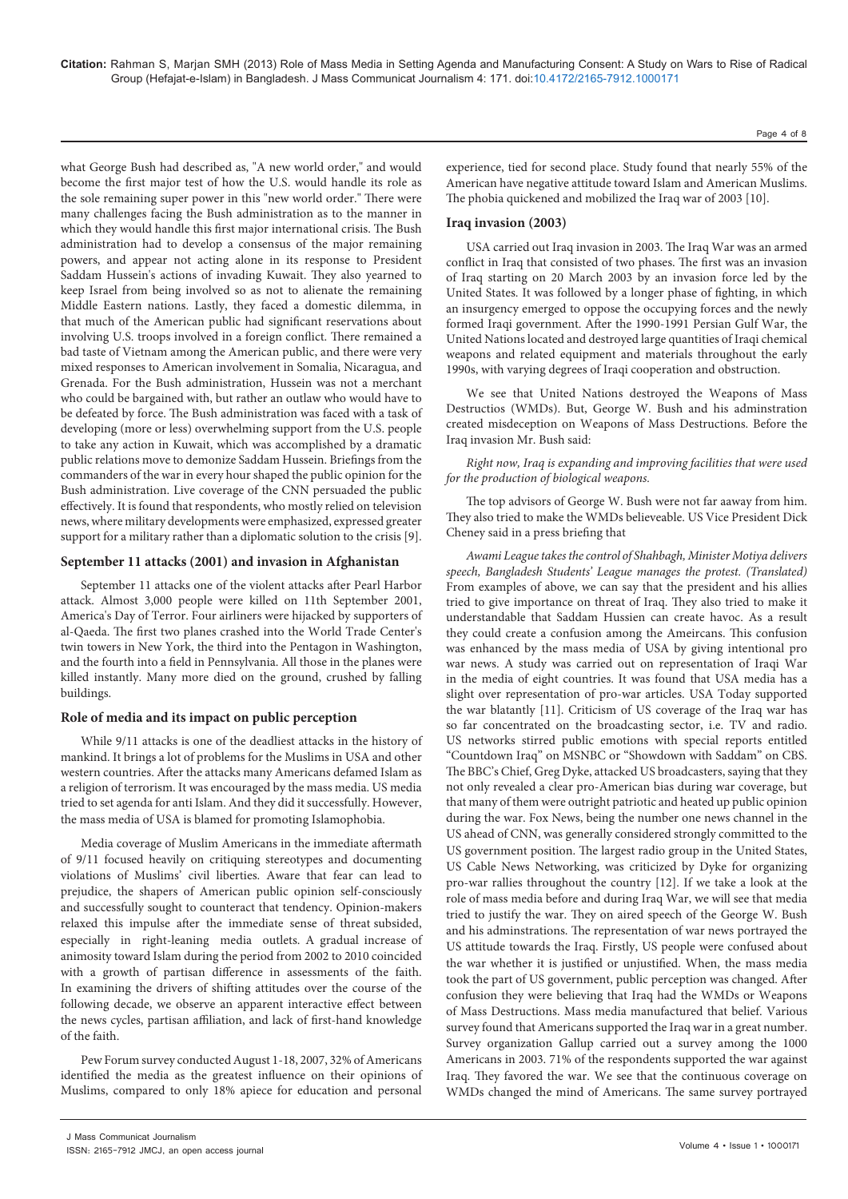what George Bush had described as, "A new world order," and would become the first major test of how the U.S. would handle its role as the sole remaining super power in this "new world order." There were many challenges facing the Bush administration as to the manner in which they would handle this first major international crisis. The Bush administration had to develop a consensus of the major remaining powers, and appear not acting alone in its response to President Saddam Hussein's actions of invading Kuwait. They also yearned to keep Israel from being involved so as not to alienate the remaining Middle Eastern nations. Lastly, they faced a domestic dilemma, in that much of the American public had significant reservations about involving U.S. troops involved in a foreign conflict. There remained a bad taste of Vietnam among the American public, and there were very mixed responses to American involvement in Somalia, Nicaragua, and Grenada. For the Bush administration, Hussein was not a merchant who could be bargained with, but rather an outlaw who would have to be defeated by force. The Bush administration was faced with a task of developing (more or less) overwhelming support from the U.S. people to take any action in Kuwait, which was accomplished by a dramatic public relations move to demonize Saddam Hussein. Briefings from the commanders of the war in every hour shaped the public opinion for the Bush administration. Live coverage of the CNN persuaded the public effectively. It is found that respondents, who mostly relied on television news, where military developments were emphasized, expressed greater support for a military rather than a diplomatic solution to the crisis [9].

#### **September 11 attacks (2001) and invasion in Afghanistan**

September 11 attacks one of the violent attacks after Pearl Harbor attack. Almost 3,000 people were killed on 11th September 2001, America's Day of Terror. Four airliners were hijacked by supporters of al-Qaeda. The first two planes crashed into the World Trade Center's twin towers in New York, the third into the Pentagon in Washington, and the fourth into a field in Pennsylvania. All those in the planes were killed instantly. Many more died on the ground, crushed by falling buildings.

#### **Role of media and its impact on public perception**

While 9/11 attacks is one of the deadliest attacks in the history of mankind. It brings a lot of problems for the Muslims in USA and other western countries. After the attacks many Americans defamed Islam as a religion of terrorism. It was encouraged by the mass media. US media tried to set agenda for anti Islam. And they did it successfully. However, the mass media of USA is blamed for promoting Islamophobia.

Media coverage of Muslim Americans in the immediate aftermath of 9/11 focused heavily on critiquing stereotypes and documenting violations of Muslims' civil liberties. Aware that fear can lead to prejudice, the shapers of American public opinion self-consciously and successfully sought to counteract that tendency. Opinion-makers relaxed this impulse after the immediate sense of threat subsided, especially in right-leaning media outlets. A gradual increase of animosity toward Islam during the period from 2002 to 2010 coincided with a growth of partisan difference in assessments of the faith. In examining the drivers of shifting attitudes over the course of the following decade, we observe an apparent interactive effect between the news cycles, partisan affiliation, and lack of first-hand knowledge of the faith.

Pew Forum survey conducted August 1-18, 2007, 32% of Americans identified the media as the greatest influence on their opinions of Muslims, compared to only 18% apiece for education and personal

experience, tied for second place. Study found that nearly 55% of the American have negative attitude toward Islam and American Muslims. The phobia quickened and mobilized the Iraq war of 2003 [10].

Page 4 of 8

#### **Iraq invasion (2003)**

USA carried out Iraq invasion in 2003. The Iraq War was an armed conflict in Iraq that consisted of two phases. The first was an invasion of Iraq starting on 20 March 2003 by an invasion force led by the United States. It was followed by a longer phase of fighting, in which an insurgency emerged to oppose the occupying forces and the newly formed Iraqi government. After the 1990-1991 Persian Gulf War, the United Nations located and destroyed large quantities of Iraqi chemical weapons and related equipment and materials throughout the early 1990s, with varying degrees of Iraqi cooperation and obstruction.

We see that United Nations destroyed the Weapons of Mass Destructios (WMDs). But, George W. Bush and his adminstration created misdeception on Weapons of Mass Destructions. Before the Iraq invasion Mr. Bush said:

*Right now, Iraq is expanding and improving facilities that were used for the production of biological weapons.* 

The top advisors of George W. Bush were not far aaway from him. They also tried to make the WMDs believeable. US Vice President Dick Cheney said in a press briefing that

*Awami League takes the control of Shahbagh, Minister Motiya delivers speech, Bangladesh Students' League manages the protest. (Translated)* From examples of above, we can say that the president and his allies tried to give importance on threat of Iraq. They also tried to make it understandable that Saddam Hussien can create havoc. As a result they could create a confusion among the Ameircans. This confusion was enhanced by the mass media of USA by giving intentional pro war news. A study was carried out on representation of Iraqi War in the media of eight countries. It was found that USA media has a slight over representation of pro-war articles. USA Today supported the war blatantly [11]. Criticism of US coverage of the Iraq war has so far concentrated on the broadcasting sector, i.e. TV and radio. US networks stirred public emotions with special reports entitled "Countdown Iraq" on MSNBC or "Showdown with Saddam" on CBS. The BBC's Chief, Greg Dyke, attacked US broadcasters, saying that they not only revealed a clear pro-American bias during war coverage, but that many of them were outright patriotic and heated up public opinion during the war. Fox News, being the number one news channel in the US ahead of CNN, was generally considered strongly committed to the US government position. The largest radio group in the United States, US Cable News Networking, was criticized by Dyke for organizing pro-war rallies throughout the country [12]. If we take a look at the role of mass media before and during Iraq War, we will see that media tried to justify the war. They on aired speech of the George W. Bush and his adminstrations. The representation of war news portrayed the US attitude towards the Iraq. Firstly, US people were confused about the war whether it is justified or unjustified. When, the mass media took the part of US government, public perception was changed. After confusion they were believing that Iraq had the WMDs or Weapons of Mass Destructions. Mass media manufactured that belief. Various survey found that Americans supported the Iraq war in a great number. Survey organization Gallup carried out a survey among the 1000 Americans in 2003. 71% of the respondents supported the war against Iraq. They favored the war. We see that the continuous coverage on WMDs changed the mind of Americans. The same survey portrayed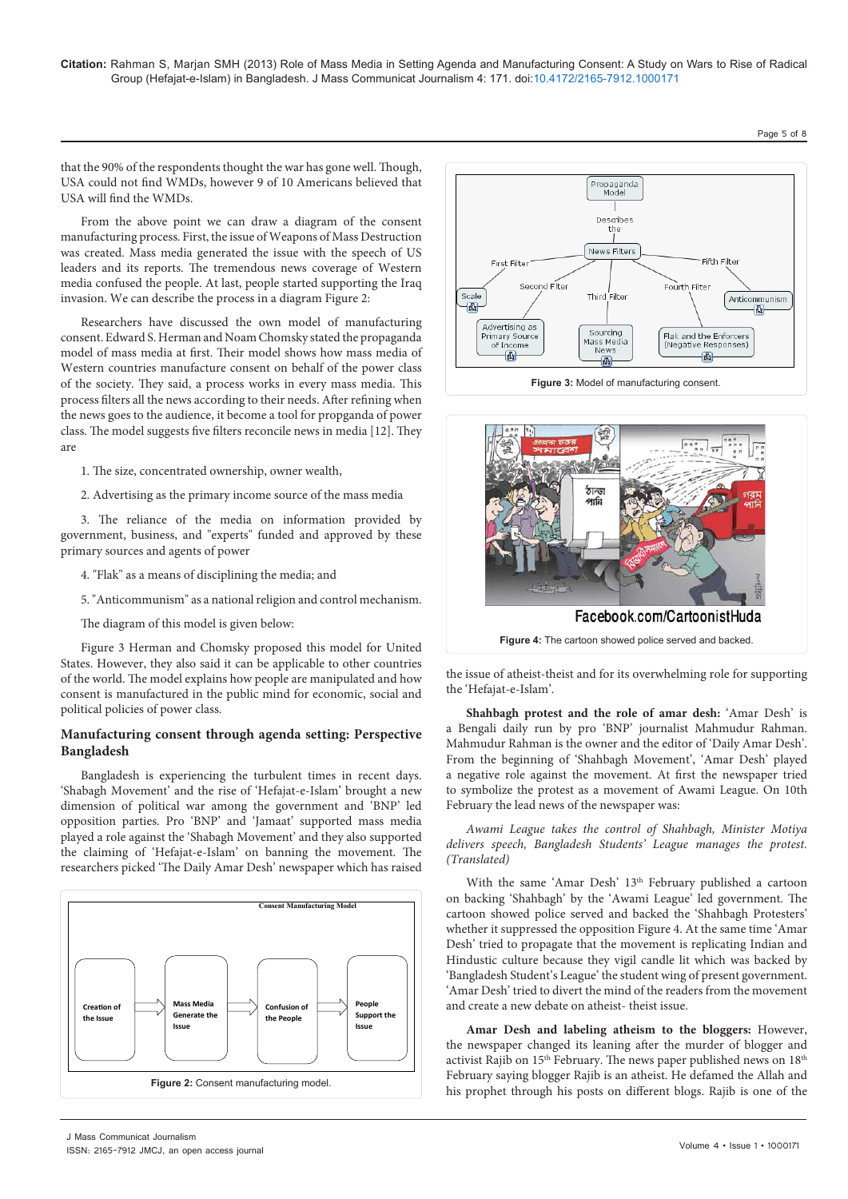that the 90% of the respondents thought the war has gone well. Though, USA could not find WMDs, however 9 of 10 Americans believed that USA will find the WMDs.

From the above point we can draw a diagram of the consent manufacturing process. First, the issue of Weapons of Mass Destruction was created. Mass media generated the issue with the speech of US leaders and its reports. The tremendous news coverage of Western media confused the people. At last, people started supporting the Iraq invasion. We can describe the process in a diagram Figure 2:

Researchers have discussed the own model of manufacturing consent. Edward S. Herman and Noam Chomsky stated the propaganda model of mass media at first. Their model shows how mass media of Western countries manufacture consent on behalf of the power class of the society. They said, a process works in every mass media. This process filters all the news according to their needs. After refining when the news goes to the audience, it become a tool for propganda of power class. The model suggests five filters reconcile news in media [12]. They are

1. The size, concentrated ownership, owner wealth,

2. Advertising as the primary income source of the mass media

3. The reliance of the media on information provided by government, business, and "experts" funded and approved by these primary sources and agents of power

- 4. "Flak" as a means of disciplining the media; and
- 5. "Anticommunism" as a national religion and control mechanism.

The diagram of this model is given below:

Figure 3 Herman and Chomsky proposed this model for United States. However, they also said it can be applicable to other countries of the world. The model explains how people are manipulated and how consent is manufactured in the public mind for economic, social and political policies of power class.

#### **Manufacturing consent through agenda setting: Perspective Bangladesh**

Bangladesh is experiencing the turbulent times in recent days. 'Shabagh Movement' and the rise of 'Hefajat-e-Islam' brought a new dimension of political war among the government and 'BNP' led opposition parties. Pro 'BNP' and 'Jamaat' supported mass media played a role against the 'Shabagh Movement' and they also supported the claiming of 'Hefajat-e-Islam' on banning the movement. The researchers picked 'The Daily Amar Desh' newspaper which has raised







the issue of atheist-theist and for its overwhelming role for supporting the 'Hefajat-e-Islam'.

**Shahbagh protest and the role of amar desh:** 'Amar Desh' is a Bengali daily run by pro 'BNP' journalist Mahmudur Rahman. Mahmudur Rahman is the owner and the editor of 'Daily Amar Desh'. From the beginning of 'Shahbagh Movement', 'Amar Desh' played a negative role against the movement. At first the newspaper tried to symbolize the protest as a movement of Awami League. On 10th February the lead news of the newspaper was:

*Awami League takes the control of Shahbagh, Minister Motiya delivers speech, Bangladesh Students' League manages the protest. (Translated)*

With the same 'Amar Desh' 13<sup>th</sup> February published a cartoon on backing 'Shahbagh' by the 'Awami League' led government. The cartoon showed police served and backed the 'Shahbagh Protesters' whether it suppressed the opposition Figure 4. At the same time 'Amar Desh' tried to propagate that the movement is replicating Indian and Hindustic culture because they vigil candle lit which was backed by 'Bangladesh Student's League' the student wing of present government. 'Amar Desh' tried to divert the mind of the readers from the movement and create a new debate on atheist- theist issue.

**Amar Desh and labeling atheism to the bloggers:** However, the newspaper changed its leaning after the murder of blogger and activist Rajib on 15<sup>th</sup> February. The news paper published news on 18<sup>th</sup> February saying blogger Rajib is an atheist. He defamed the Allah and his prophet through his posts on different blogs. Rajib is one of the

Page 5 of 8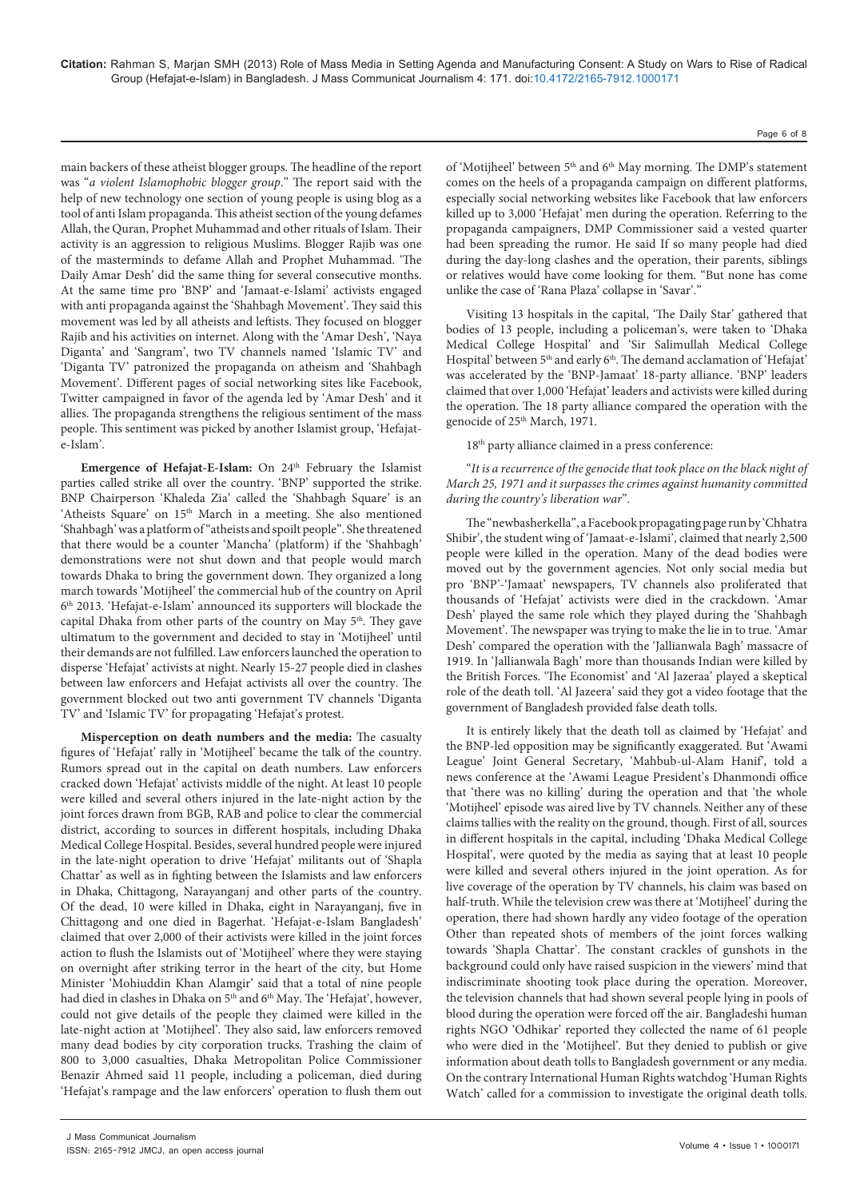main backers of these atheist blogger groups. The headline of the report was "*a violent Islamophobic blogger group*." The report said with the help of new technology one section of young people is using blog as a tool of anti Islam propaganda. This atheist section of the young defames Allah, the Quran, Prophet Muhammad and other rituals of Islam. Their activity is an aggression to religious Muslims. Blogger Rajib was one of the masterminds to defame Allah and Prophet Muhammad. 'The Daily Amar Desh' did the same thing for several consecutive months. At the same time pro 'BNP' and 'Jamaat-e-Islami' activists engaged with anti propaganda against the 'Shahbagh Movement'. They said this movement was led by all atheists and leftists. They focused on blogger Rajib and his activities on internet. Along with the 'Amar Desh', 'Naya Diganta' and 'Sangram', two TV channels named 'Islamic TV' and 'Diganta TV' patronized the propaganda on atheism and 'Shahbagh Movement'. Different pages of social networking sites like Facebook, Twitter campaigned in favor of the agenda led by 'Amar Desh' and it allies. The propaganda strengthens the religious sentiment of the mass people. This sentiment was picked by another Islamist group, 'Hefajate-Islam'.

**Emergence of Hefajat-E-Islam:** On 24<sup>th</sup> February the Islamist parties called strike all over the country. 'BNP' supported the strike. BNP Chairperson 'Khaleda Zia' called the 'Shahbagh Square' is an 'Atheists Square' on 15<sup>th</sup> March in a meeting. She also mentioned 'Shahbagh' was a platform of "atheists and spoilt people". She threatened that there would be a counter 'Mancha' (platform) if the 'Shahbagh' demonstrations were not shut down and that people would march towards Dhaka to bring the government down. They organized a long march towards 'Motijheel' the commercial hub of the country on April 6th 2013. 'Hefajat-e-Islam' announced its supporters will blockade the capital Dhaka from other parts of the country on May  $5<sup>th</sup>$ . They gave ultimatum to the government and decided to stay in 'Motijheel' until their demands are not fulfilled. Law enforcers launched the operation to disperse 'Hefajat' activists at night. Nearly 15-27 people died in clashes between law enforcers and Hefajat activists all over the country. The government blocked out two anti government TV channels 'Diganta TV' and 'Islamic TV' for propagating 'Hefajat's protest.

**Misperception on death numbers and the media:** The casualty figures of 'Hefajat' rally in 'Motijheel' became the talk of the country. Rumors spread out in the capital on death numbers. Law enforcers cracked down 'Hefajat' activists middle of the night. At least 10 people were killed and several others injured in the late-night action by the joint forces drawn from BGB, RAB and police to clear the commercial district, according to sources in different hospitals, including Dhaka Medical College Hospital. Besides, several hundred people were injured in the late-night operation to drive 'Hefajat' militants out of 'Shapla Chattar' as well as in fighting between the Islamists and law enforcers in Dhaka, Chittagong, Narayanganj and other parts of the country. Of the dead, 10 were killed in Dhaka, eight in Narayanganj, five in Chittagong and one died in Bagerhat. 'Hefajat-e-Islam Bangladesh' claimed that over 2,000 of their activists were killed in the joint forces action to flush the Islamists out of 'Motijheel' where they were staying on overnight after striking terror in the heart of the city, but Home Minister 'Mohiuddin Khan Alamgir' said that a total of nine people had died in clashes in Dhaka on 5<sup>th</sup> and 6<sup>th</sup> May. The 'Hefajat', however, could not give details of the people they claimed were killed in the late-night action at 'Motijheel'. They also said, law enforcers removed many dead bodies by city corporation trucks. Trashing the claim of 800 to 3,000 casualties, Dhaka Metropolitan Police Commissioner Benazir Ahmed said 11 people, including a policeman, died during 'Hefajat's rampage and the law enforcers' operation to flush them out

of 'Motijheel' between 5<sup>th</sup> and 6<sup>th</sup> May morning. The DMP's statement comes on the heels of a propaganda campaign on different platforms, especially social networking websites like Facebook that law enforcers killed up to 3,000 'Hefajat' men during the operation. Referring to the propaganda campaigners, DMP Commissioner said a vested quarter had been spreading the rumor. He said If so many people had died during the day-long clashes and the operation, their parents, siblings or relatives would have come looking for them. "But none has come unlike the case of 'Rana Plaza' collapse in 'Savar'."

Visiting 13 hospitals in the capital, 'The Daily Star' gathered that bodies of 13 people, including a policeman's, were taken to 'Dhaka Medical College Hospital' and 'Sir Salimullah Medical College Hospital' between 5<sup>th</sup> and early 6<sup>th</sup>. The demand acclamation of 'Hefajat' was accelerated by the 'BNP-Jamaat' 18-party alliance. 'BNP' leaders claimed that over 1,000 'Hefajat' leaders and activists were killed during the operation. The 18 party alliance compared the operation with the genocide of 25<sup>th</sup> March, 1971.

18th party alliance claimed in a press conference:

"*It is a recurrence of the genocide that took place on the black night of March 25, 1971 and it surpasses the crimes against humanity committed during the country's liberation war*".

The "newbasherkella", a Facebook propagating page run by 'Chhatra Shibir', the student wing of 'Jamaat-e-Islami', claimed that nearly 2,500 people were killed in the operation. Many of the dead bodies were moved out by the government agencies. Not only social media but pro 'BNP'-'Jamaat' newspapers, TV channels also proliferated that thousands of 'Hefajat' activists were died in the crackdown. 'Amar Desh' played the same role which they played during the 'Shahbagh Movement'. The newspaper was trying to make the lie in to true. 'Amar Desh' compared the operation with the 'Jallianwala Bagh' massacre of 1919. In 'Jallianwala Bagh' more than thousands Indian were killed by the British Forces. 'The Economist' and 'Al Jazeraa' played a skeptical role of the death toll. 'Al Jazeera' said they got a video footage that the government of Bangladesh provided false death tolls.

It is entirely likely that the death toll as claimed by 'Hefajat' and the BNP-led opposition may be significantly exaggerated. But 'Awami League' Joint General Secretary, 'Mahbub-ul-Alam Hanif', told a news conference at the 'Awami League President's Dhanmondi office that 'there was no killing' during the operation and that 'the whole 'Motijheel' episode was aired live by TV channels. Neither any of these claims tallies with the reality on the ground, though. First of all, sources in different hospitals in the capital, including 'Dhaka Medical College Hospital', were quoted by the media as saying that at least 10 people were killed and several others injured in the joint operation. As for live coverage of the operation by TV channels, his claim was based on half-truth. While the television crew was there at 'Motijheel' during the operation, there had shown hardly any video footage of the operation Other than repeated shots of members of the joint forces walking towards 'Shapla Chattar'. The constant crackles of gunshots in the background could only have raised suspicion in the viewers' mind that indiscriminate shooting took place during the operation. Moreover, the television channels that had shown several people lying in pools of blood during the operation were forced off the air. Bangladeshi human rights NGO 'Odhikar' reported they collected the name of 61 people who were died in the 'Motijheel'. But they denied to publish or give information about death tolls to Bangladesh government or any media. On the contrary International Human Rights watchdog 'Human Rights Watch' called for a commission to investigate the original death tolls.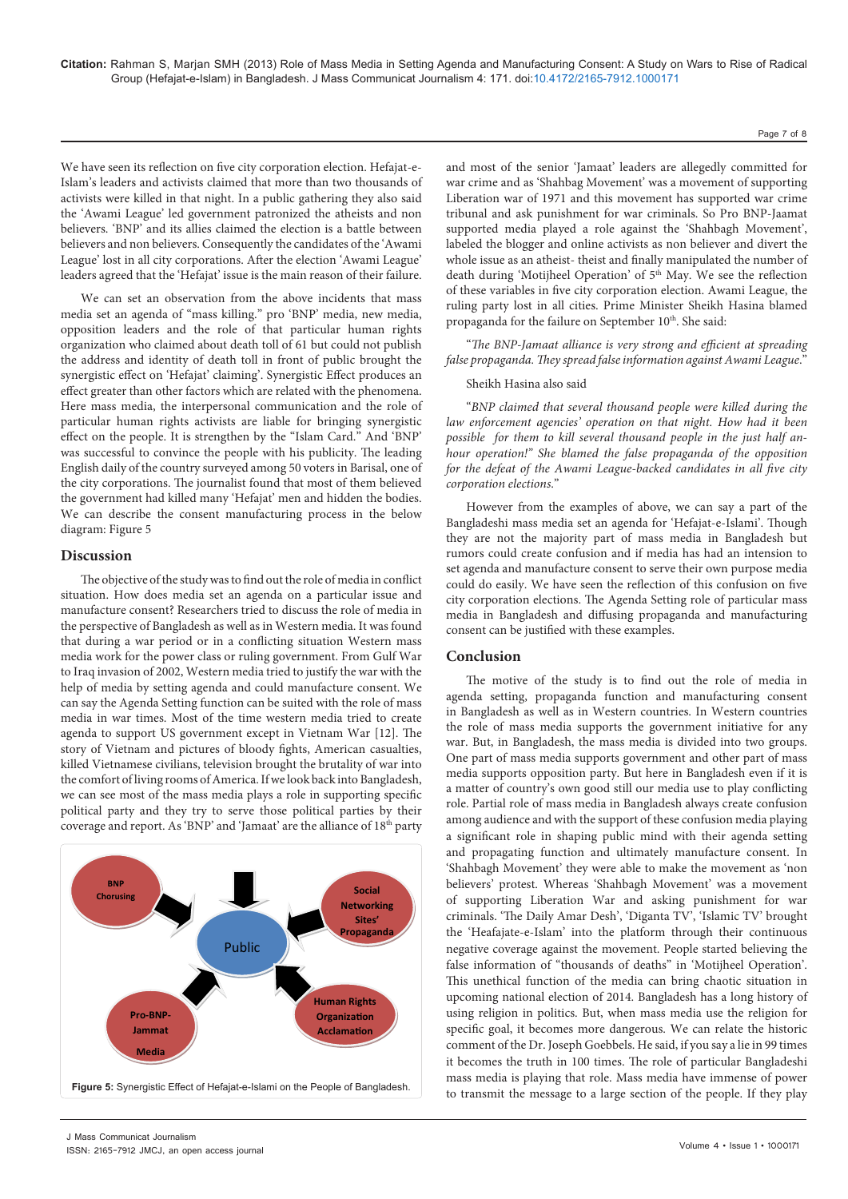We have seen its reflection on five city corporation election. Hefajat-e-Islam's leaders and activists claimed that more than two thousands of activists were killed in that night. In a public gathering they also said the 'Awami League' led government patronized the atheists and non believers. 'BNP' and its allies claimed the election is a battle between believers and non believers. Consequently the candidates of the 'Awami League' lost in all city corporations. After the election 'Awami League' leaders agreed that the 'Hefajat' issue is the main reason of their failure.

We can set an observation from the above incidents that mass media set an agenda of "mass killing." pro 'BNP' media, new media, opposition leaders and the role of that particular human rights organization who claimed about death toll of 61 but could not publish the address and identity of death toll in front of public brought the synergistic effect on 'Hefajat' claiming'. Synergistic Effect produces an effect greater than other factors which are related with the phenomena. Here mass media, the interpersonal communication and the role of particular human rights activists are liable for bringing synergistic effect on the people. It is strengthen by the "Islam Card." And 'BNP' was successful to convince the people with his publicity. The leading English daily of the country surveyed among 50 voters in Barisal, one of the city corporations. The journalist found that most of them believed the government had killed many 'Hefajat' men and hidden the bodies. We can describe the consent manufacturing process in the below diagram: Figure 5

#### **Discussion**

The objective of the study was to find out the role of media in conflict situation. How does media set an agenda on a particular issue and manufacture consent? Researchers tried to discuss the role of media in the perspective of Bangladesh as well as in Western media. It was found that during a war period or in a conflicting situation Western mass media work for the power class or ruling government. From Gulf War to Iraq invasion of 2002, Western media tried to justify the war with the help of media by setting agenda and could manufacture consent. We can say the Agenda Setting function can be suited with the role of mass media in war times. Most of the time western media tried to create agenda to support US government except in Vietnam War [12]. The story of Vietnam and pictures of bloody fights, American casualties, killed Vietnamese civilians, television brought the brutality of war into the comfort of living rooms of America. If we look back into Bangladesh, we can see most of the mass media plays a role in supporting specific political party and they try to serve those political parties by their coverage and report. As 'BNP' and 'Jamaat' are the alliance of 18<sup>th</sup> party



J Mass Communicat Journalism ISSN: 2165-7912 JMCJ, an open access journal and most of the senior 'Jamaat' leaders are allegedly committed for war crime and as 'Shahbag Movement' was a movement of supporting Liberation war of 1971 and this movement has supported war crime tribunal and ask punishment for war criminals. So Pro BNP-Jaamat supported media played a role against the 'Shahbagh Movement', labeled the blogger and online activists as non believer and divert the whole issue as an atheist- theist and finally manipulated the number of death during 'Motijheel Operation' of 5<sup>th</sup> May. We see the reflection of these variables in five city corporation election. Awami League, the ruling party lost in all cities. Prime Minister Sheikh Hasina blamed propaganda for the failure on September 10<sup>th</sup>. She said:

"*The BNP-Jamaat alliance is very strong and efficient at spreading false propaganda. They spread false information against Awami League*."

#### Sheikh Hasina also said

"*BNP claimed that several thousand people were killed during the law enforcement agencies' operation on that night. How had it been possible for them to kill several thousand people in the just half anhour operation!" She blamed the false propaganda of the opposition for the defeat of the Awami League-backed candidates in all five city corporation elections*."

However from the examples of above, we can say a part of the Bangladeshi mass media set an agenda for 'Hefajat-e-Islami'. Though they are not the majority part of mass media in Bangladesh but rumors could create confusion and if media has had an intension to set agenda and manufacture consent to serve their own purpose media could do easily. We have seen the reflection of this confusion on five city corporation elections. The Agenda Setting role of particular mass media in Bangladesh and diffusing propaganda and manufacturing consent can be justified with these examples.

### **Conclusion**

The motive of the study is to find out the role of media in agenda setting, propaganda function and manufacturing consent in Bangladesh as well as in Western countries. In Western countries the role of mass media supports the government initiative for any war. But, in Bangladesh, the mass media is divided into two groups. One part of mass media supports government and other part of mass media supports opposition party. But here in Bangladesh even if it is a matter of country's own good still our media use to play conflicting role. Partial role of mass media in Bangladesh always create confusion among audience and with the support of these confusion media playing a significant role in shaping public mind with their agenda setting and propagating function and ultimately manufacture consent. In 'Shahbagh Movement' they were able to make the movement as 'non believers' protest. Whereas 'Shahbagh Movement' was a movement of supporting Liberation War and asking punishment for war criminals. 'The Daily Amar Desh', 'Diganta TV', 'Islamic TV' brought the 'Heafajate-e-Islam' into the platform through their continuous negative coverage against the movement. People started believing the false information of "thousands of deaths" in 'Motijheel Operation'. This unethical function of the media can bring chaotic situation in upcoming national election of 2014. Bangladesh has a long history of using religion in politics. But, when mass media use the religion for specific goal, it becomes more dangerous. We can relate the historic comment of the Dr. Joseph Goebbels. He said, if you say a lie in 99 times it becomes the truth in 100 times. The role of particular Bangladeshi mass media is playing that role. Mass media have immense of power to transmit the message to a large section of the people. If they play